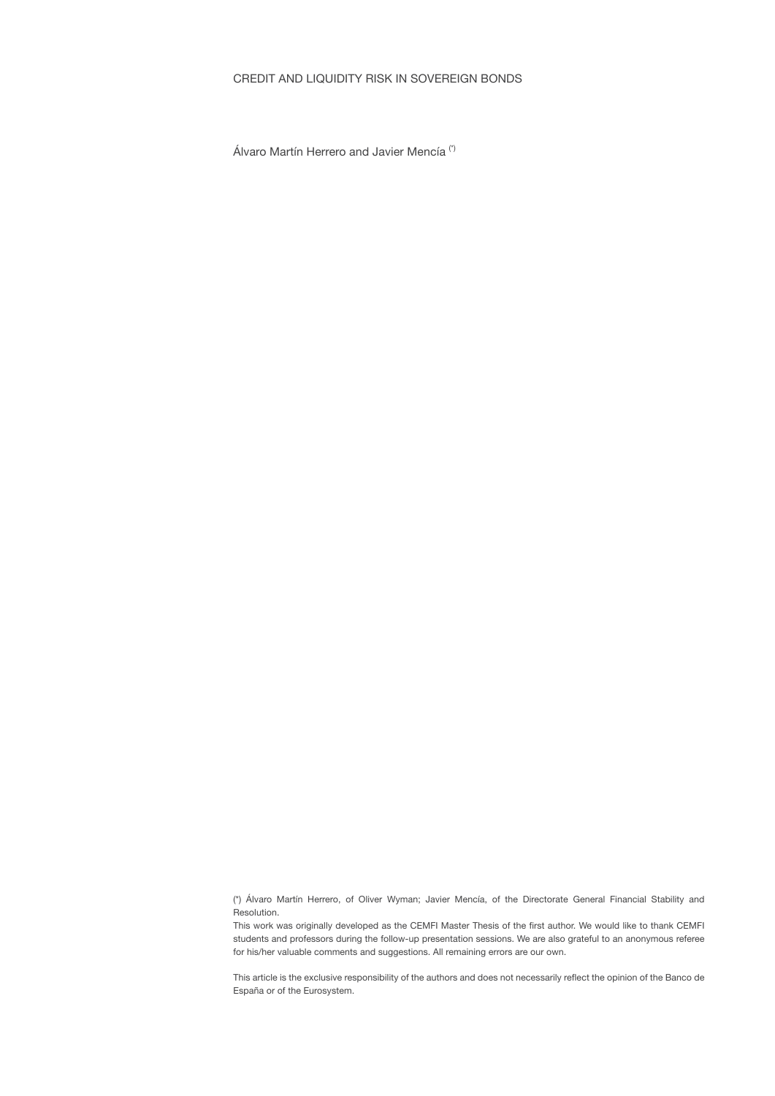# CREDIT AND LIQUIDITY RISK IN SOVEREIGN BONDS

Álvaro Martín Herrero and Javier Mencía (\*)

(\*) Álvaro Martín Herrero, of Oliver Wyman; Javier Mencía, of the Directorate General Financial Stability and Resolution.

This work was originally developed as the CEMFI Master Thesis of the first author. We would like to thank CEMFI students and professors during the follow-up presentation sessions. We are also grateful to an anonymous referee for his/her valuable comments and suggestions. All remaining errors are our own.

This article is the exclusive responsibility of the authors and does not necessarily reflect the opinion of the Banco de España or of the Eurosystem.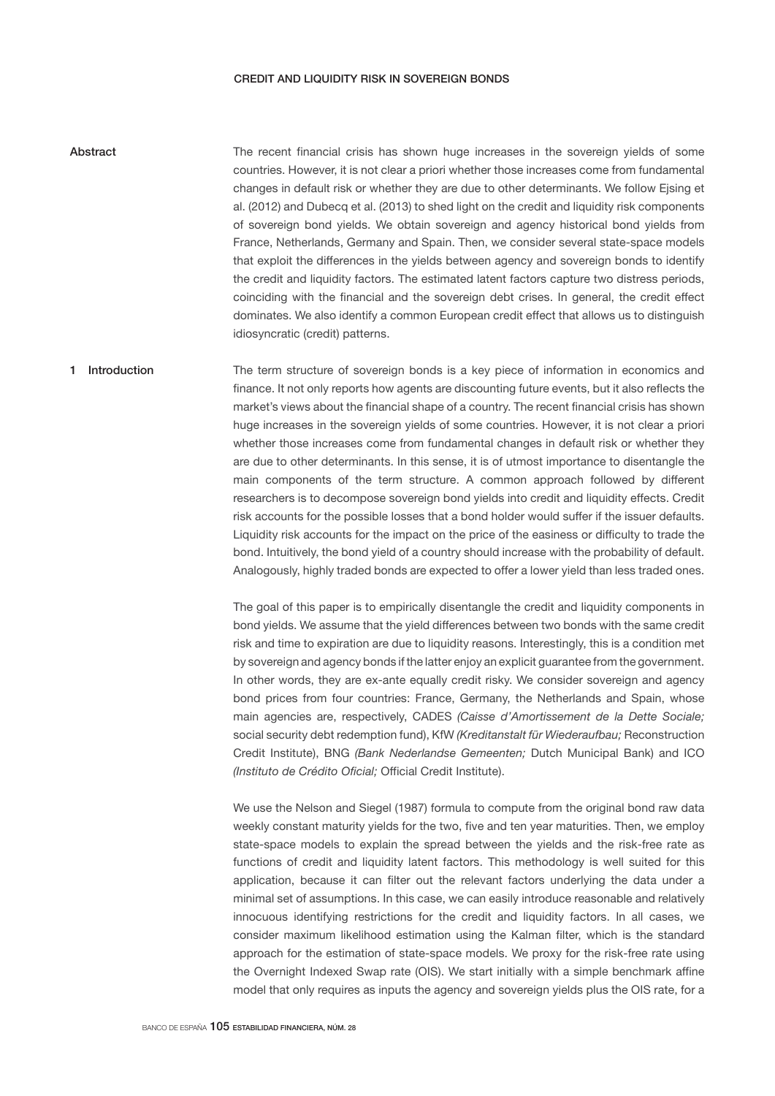## CREDIT AND LIQUIDITY RISK IN SOVEREIGN BONDS

The recent financial crisis has shown huge increases in the sovereign yields of some countries. However, it is not clear a priori whether those increases come from fundamental changes in default risk or whether they are due to other determinants. We follow Ejsing et al. (2012) and Dubecq et al. (2013) to shed light on the credit and liquidity risk components of sovereign bond yields. We obtain sovereign and agency historical bond yields from France, Netherlands, Germany and Spain. Then, we consider several state-space models that exploit the differences in the yields between agency and sovereign bonds to identify the credit and liquidity factors. The estimated latent factors capture two distress periods, coinciding with the financial and the sovereign debt crises. In general, the credit effect dominates. We also identify a common European credit effect that allows us to distinguish idiosyncratic (credit) patterns. Abstract

# The term structure of sovereign bonds is a key piece of information in economics and finance. It not only reports how agents are discounting future events, but it also reflects the market's views about the financial shape of a country. The recent financial crisis has shown huge increases in the sovereign yields of some countries. However, it is not clear a priori whether those increases come from fundamental changes in default risk or whether they are due to other determinants. In this sense, it is of utmost importance to disentangle the main components of the term structure. A common approach followed by different researchers is to decompose sovereign bond yields into credit and liquidity effects. Credit risk accounts for the possible losses that a bond holder would suffer if the issuer defaults. Liquidity risk accounts for the impact on the price of the easiness or difficulty to trade the bond. Intuitively, the bond yield of a country should increase with the probability of default. Analogously, highly traded bonds are expected to offer a lower yield than less traded ones. 1 Introduction

The goal of this paper is to empirically disentangle the credit and liquidity components in bond yields. We assume that the yield differences between two bonds with the same credit risk and time to expiration are due to liquidity reasons. Interestingly, this is a condition met by sovereign and agency bonds if the latter enjoy an explicit guarantee from the government. In other words, they are ex-ante equally credit risky. We consider sovereign and agency bond prices from four countries: France, Germany, the Netherlands and Spain, whose main agencies are, respectively, CADES *(Caisse d'Amortissement de la Dette Sociale;*  social security debt redemption fund), KfW *(Kreditanstalt für Wiederaufbau;* Reconstruction Credit Institute), BNG *(Bank Nederlandse Gemeenten;* Dutch Municipal Bank) and ICO *(Instituto de Crédito Oficial;* Official Credit Institute).

We use the Nelson and Siegel (1987) formula to compute from the original bond raw data weekly constant maturity yields for the two, five and ten year maturities. Then, we employ state-space models to explain the spread between the yields and the risk-free rate as functions of credit and liquidity latent factors. This methodology is well suited for this application, because it can filter out the relevant factors underlying the data under a minimal set of assumptions. In this case, we can easily introduce reasonable and relatively innocuous identifying restrictions for the credit and liquidity factors. In all cases, we consider maximum likelihood estimation using the Kalman filter, which is the standard approach for the estimation of state-space models. We proxy for the risk-free rate using the Overnight Indexed Swap rate (OIS). We start initially with a simple benchmark affine model that only requires as inputs the agency and sovereign yields plus the OIS rate, for a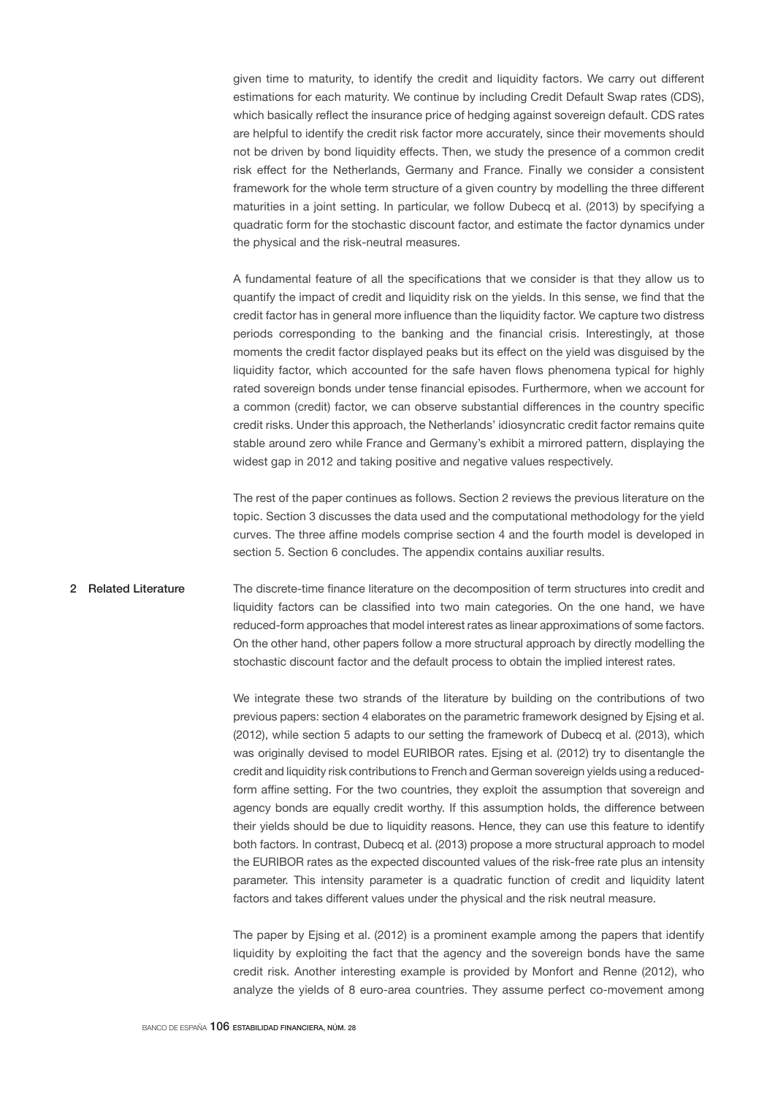given time to maturity, to identify the credit and liquidity factors. We carry out different estimations for each maturity. We continue by including Credit Default Swap rates (CDS), which basically reflect the insurance price of hedging against sovereign default. CDS rates are helpful to identify the credit risk factor more accurately, since their movements should not be driven by bond liquidity effects. Then, we study the presence of a common credit risk effect for the Netherlands, Germany and France. Finally we consider a consistent framework for the whole term structure of a given country by modelling the three different maturities in a joint setting. In particular, we follow Dubecq et al. (2013) by specifying a quadratic form for the stochastic discount factor, and estimate the factor dynamics under the physical and the risk-neutral measures.

A fundamental feature of all the specifications that we consider is that they allow us to quantify the impact of credit and liquidity risk on the yields. In this sense, we find that the credit factor has in general more influence than the liquidity factor. We capture two distress periods corresponding to the banking and the financial crisis. Interestingly, at those moments the credit factor displayed peaks but its effect on the yield was disguised by the liquidity factor, which accounted for the safe haven flows phenomena typical for highly rated sovereign bonds under tense financial episodes. Furthermore, when we account for a common (credit) factor, we can observe substantial differences in the country specific credit risks. Under this approach, the Netherlands' idiosyncratic credit factor remains quite stable around zero while France and Germany's exhibit a mirrored pattern, displaying the widest gap in 2012 and taking positive and negative values respectively.

The rest of the paper continues as follows. Section 2 reviews the previous literature on the topic. Section 3 discusses the data used and the computational methodology for the yield curves. The three affine models comprise section 4 and the fourth model is developed in section 5. Section 6 concludes. The appendix contains auxiliar results.

# The discrete-time finance literature on the decomposition of term structures into credit and liquidity factors can be classified into two main categories. On the one hand, we have reduced-form approaches that model interest rates as linear approximations of some factors. On the other hand, other papers follow a more structural approach by directly modelling the stochastic discount factor and the default process to obtain the implied interest rates. 2 Related Literature

We integrate these two strands of the literature by building on the contributions of two previous papers: section 4 elaborates on the parametric framework designed by Ejsing et al. (2012), while section 5 adapts to our setting the framework of Dubecq et al. (2013), which was originally devised to model EURIBOR rates. Ejsing et al. (2012) try to disentangle the credit and liquidity risk contributions to French and German sovereign yields using a reducedform affine setting. For the two countries, they exploit the assumption that sovereign and agency bonds are equally credit worthy. If this assumption holds, the difference between their yields should be due to liquidity reasons. Hence, they can use this feature to identify both factors. In contrast, Dubecq et al. (2013) propose a more structural approach to model the EURIBOR rates as the expected discounted values of the risk-free rate plus an intensity parameter. This intensity parameter is a quadratic function of credit and liquidity latent factors and takes different values under the physical and the risk neutral measure.

The paper by Ejsing et al. (2012) is a prominent example among the papers that identify liquidity by exploiting the fact that the agency and the sovereign bonds have the same credit risk. Another interesting example is provided by Monfort and Renne (2012), who analyze the yields of 8 euro-area countries. They assume perfect co-movement among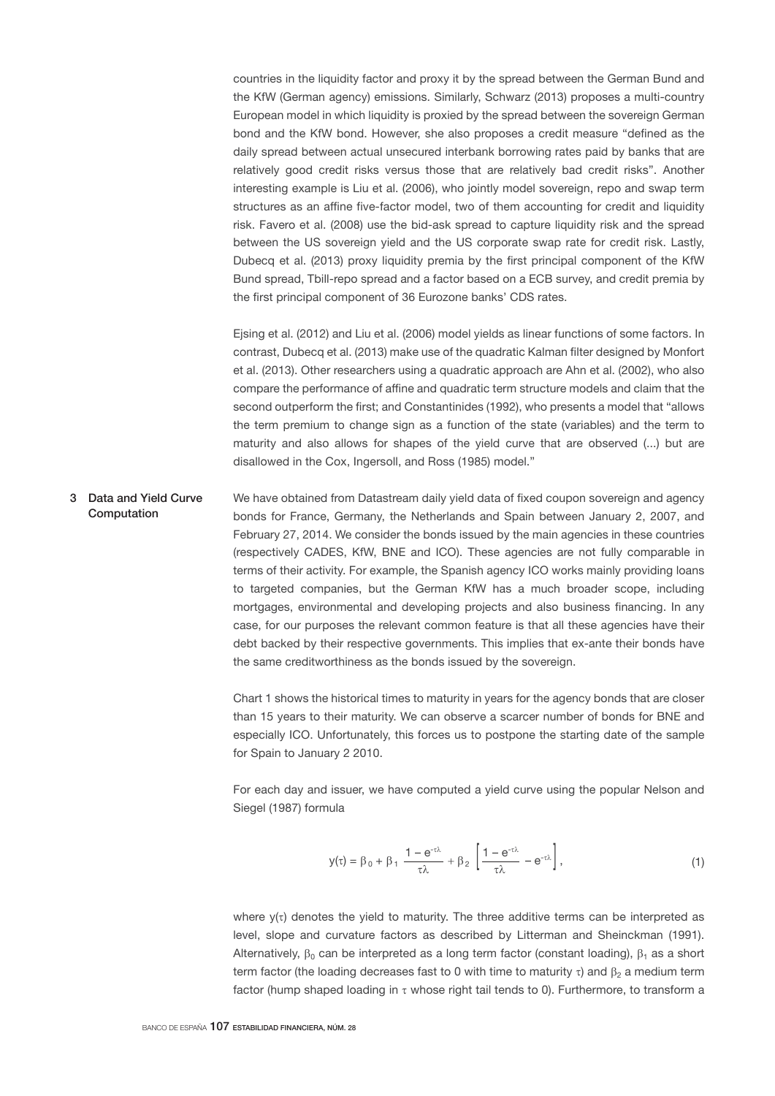countries in the liquidity factor and proxy it by the spread between the German Bund and the KfW (German agency) emissions. Similarly, Schwarz (2013) proposes a multi-country European model in which liquidity is proxied by the spread between the sovereign German bond and the KfW bond. However, she also proposes a credit measure "defined as the daily spread between actual unsecured interbank borrowing rates paid by banks that are relatively good credit risks versus those that are relatively bad credit risks". Another interesting example is Liu et al. (2006), who jointly model sovereign, repo and swap term structures as an affine five-factor model, two of them accounting for credit and liquidity risk. Favero et al. (2008) use the bid-ask spread to capture liquidity risk and the spread between the US sovereign yield and the US corporate swap rate for credit risk. Lastly, Dubecq et al. (2013) proxy liquidity premia by the first principal component of the KfW Bund spread, Tbill-repo spread and a factor based on a ECB survey, and credit premia by the first principal component of 36 Eurozone banks' CDS rates.

Ejsing et al. (2012) and Liu et al. (2006) model yields as linear functions of some factors. In contrast, Dubecq et al. (2013) make use of the quadratic Kalman filter designed by Monfort et al. (2013). Other researchers using a quadratic approach are Ahn et al. (2002), who also compare the performance of affine and quadratic term structure models and claim that the second outperform the first; and Constantinides (1992), who presents a model that "allows the term premium to change sign as a function of the state (variables) and the term to maturity and also allows for shapes of the yield curve that are observed (...) but are disallowed in the Cox, Ingersoll, and Ross (1985) model."

We have obtained from Datastream daily yield data of fixed coupon sovereign and agency bonds for France, Germany, the Netherlands and Spain between January 2, 2007, and February 27, 2014. We consider the bonds issued by the main agencies in these countries (respectively CADES, KfW, BNE and ICO). These agencies are not fully comparable in terms of their activity. For example, the Spanish agency ICO works mainly providing loans to targeted companies, but the German KfW has a much broader scope, including mortgages, environmental and developing projects and also business financing. In any case, for our purposes the relevant common feature is that all these agencies have their debt backed by their respective governments. This implies that ex-ante their bonds have the same creditworthiness as the bonds issued by the sovereign. 3 Data and Yield Curve Computation

> Chart 1 shows the historical times to maturity in years for the agency bonds that are closer than 15 years to their maturity. We can observe a scarcer number of bonds for BNE and especially ICO. Unfortunately, this forces us to postpone the starting date of the sample for Spain to January 2 2010.

> For each day and issuer, we have computed a yield curve using the popular Nelson and Siegel (1987) formula

$$
y(\tau) = \beta_0 + \beta_1 \frac{1 - e^{-\tau \lambda}}{\tau \lambda} + \beta_2 \left[ \frac{1 - e^{-\tau \lambda}}{\tau \lambda} - e^{-\tau \lambda} \right],
$$
\n(1)

where  $y(\tau)$  denotes the yield to maturity. The three additive terms can be interpreted as level, slope and curvature factors as described by Litterman and Sheinckman (1991). Alternatively,  $\beta_0$  can be interpreted as a long term factor (constant loading),  $\beta_1$  as a short term factor (the loading decreases fast to 0 with time to maturity  $\tau$ ) and  $\beta_2$  a medium term factor (hump shaped loading in  $\tau$  whose right tail tends to 0). Furthermore, to transform a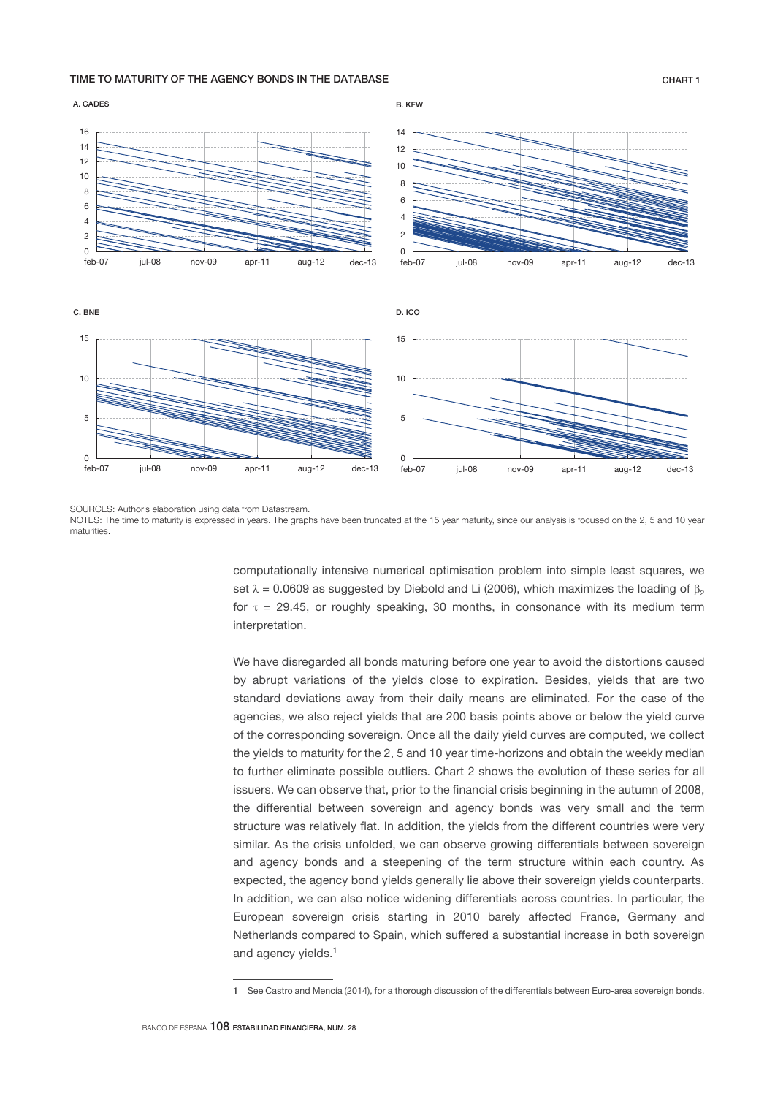## TIME TO MATURITY OF THE AGENCY BONDS IN THE DATABASE CHART 1



SOURCES: Author's elaboration using data from Datastream.

NOTES: The time to maturity is expressed in years. The graphs have been truncated at the 15 year maturity, since our analysis is focused on the 2, 5 and 10 year maturities.

> computationally intensive numerical optimisation problem into simple least squares, we set  $\lambda = 0.0609$  as suggested by Diebold and Li (2006), which maximizes the loading of  $\beta_2$ for  $\tau = 29.45$ , or roughly speaking, 30 months, in consonance with its medium term interpretation.

> We have disregarded all bonds maturing before one year to avoid the distortions caused by abrupt variations of the yields close to expiration. Besides, yields that are two standard deviations away from their daily means are eliminated. For the case of the agencies, we also reject yields that are 200 basis points above or below the yield curve of the corresponding sovereign. Once all the daily yield curves are computed, we collect the yields to maturity for the 2, 5 and 10 year time-horizons and obtain the weekly median to further eliminate possible outliers. Chart 2 shows the evolution of these series for all issuers. We can observe that, prior to the financial crisis beginning in the autumn of 2008, the differential between sovereign and agency bonds was very small and the term structure was relatively flat. In addition, the yields from the different countries were very similar. As the crisis unfolded, we can observe growing differentials between sovereign and agency bonds and a steepening of the term structure within each country. As expected, the agency bond yields generally lie above their sovereign yields counterparts. In addition, we can also notice widening differentials across countries. In particular, the European sovereign crisis starting in 2010 barely affected France, Germany and Netherlands compared to Spain, which suffered a substantial increase in both sovereign and agency vields.<sup>1</sup>

<sup>1</sup> See Castro and Mencía (2014), for a thorough discussion of the differentials between Euro-area sovereign bonds.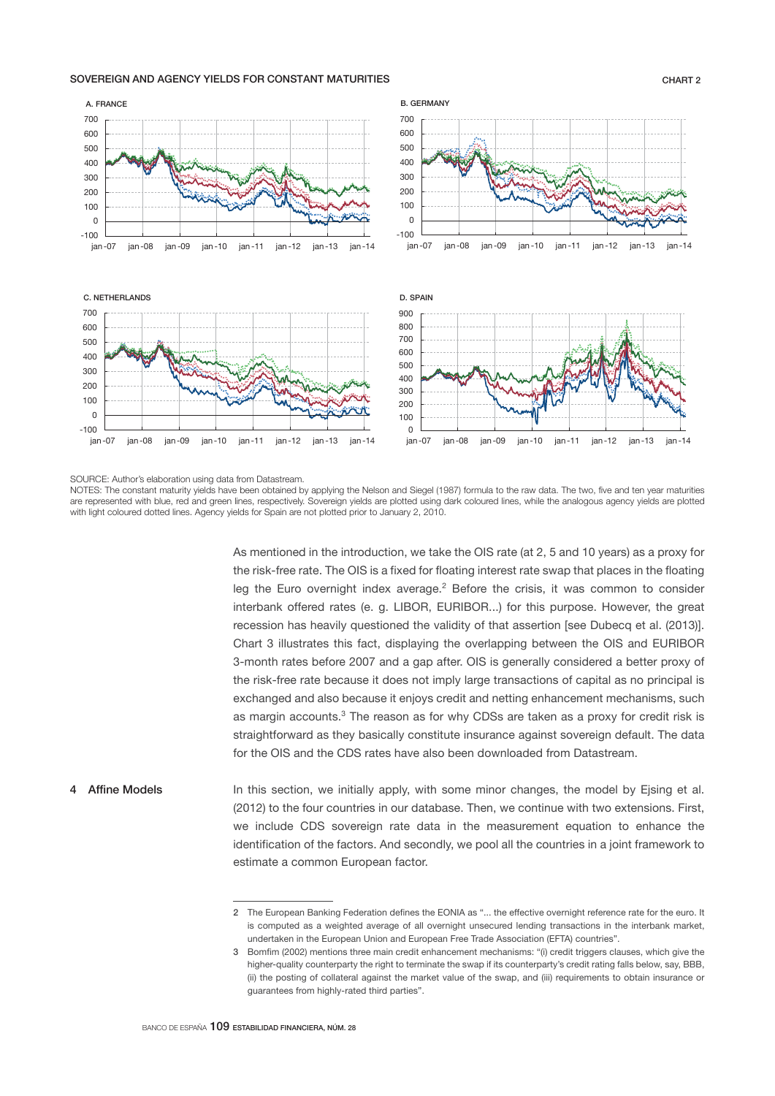## SOVEREIGN AND AGENCY YIELDS FOR CONSTANT MATURITIES CHART 2

### — 100<br>jan-07  $\Omega$ 100 200 300  $400$ 500 600 700 jan -07 jan -08 jan -09 jan -10 jan -11 jan -12 jan -13 jan -14 A. FRANCE —أ 100-<br>107-ian  $\Omega$ 100 200 300 400 500 600 700 jan -07 jan -08 jan -09 jan -10 jan -11 jan -12 jan -13 jan -14 B. GERMANY ـــا 100-<br>10- jan  $\Omega$ 100 200 300 400 500 600 700 jan -07 jan -08 jan -09 jan -10 jan -11 jan -12 jan -13 jan -14 C. NETHERLANDS  $\Omega$ 100 200 300 400 500 600 700 800 900 jan -07 jan -08 jan -09 jan -10 jan -11 jan -12 jan -13 jan -14 D. SPAIN

### SOURCE: Author's elaboration using data from Datastream.

NOTES: The constant maturity yields have been obtained by applying the Nelson and Siegel (1987) formula to the raw data. The two, five and ten year maturities are represented with blue, red and green lines, respectively. Sovereign yields are plotted using dark coloured lines, while the analogous agency yields are plotted with light coloured dotted lines. Agency yields for Spain are not plotted prior to January 2, 2010.

> As mentioned in the introduction, we take the OIS rate (at 2, 5 and 10 years) as a proxy for the risk-free rate. The OIS is a fixed for floating interest rate swap that places in the floating leg the Euro overnight index average. $2$  Before the crisis, it was common to consider interbank offered rates (e. g. LIBOR, EURIBOR...) for this purpose. However, the great recession has heavily questioned the validity of that assertion [see Dubecq et al. (2013)]. Chart 3 illustrates this fact, displaying the overlapping between the OIS and EURIBOR 3-month rates before 2007 and a gap after. OIS is generally considered a better proxy of the risk-free rate because it does not imply large transactions of capital as no principal is exchanged and also because it enjoys credit and netting enhancement mechanisms, such as margin accounts.<sup>3</sup> The reason as for why CDSs are taken as a proxy for credit risk is straightforward as they basically constitute insurance against sovereign default. The data for the OIS and the CDS rates have also been downloaded from Datastream.

In this section, we initially apply, with some minor changes, the model by Ejsing et al. (2012) to the four countries in our database. Then, we continue with two extensions. First, we include CDS sovereign rate data in the measurement equation to enhance the identification of the factors. And secondly, we pool all the countries in a joint framework to estimate a common European factor. 4 Affine Models

<sup>2</sup> The European Banking Federation defines the EONIA as "... the effective overnight reference rate for the euro. It is computed as a weighted average of all overnight unsecured lending transactions in the interbank market. undertaken in the European Union and European Free Trade Association (EFTA) countries".

<sup>3</sup> Bomfim (2002) mentions three main credit enhancement mechanisms: "(i) credit triggers clauses, which give the higher-quality counterparty the right to terminate the swap if its counterparty's credit rating falls below, say, BBB, (ii) the posting of collateral against the market value of the swap, and (iii) requirements to obtain insurance or guarantees from highly-rated third parties".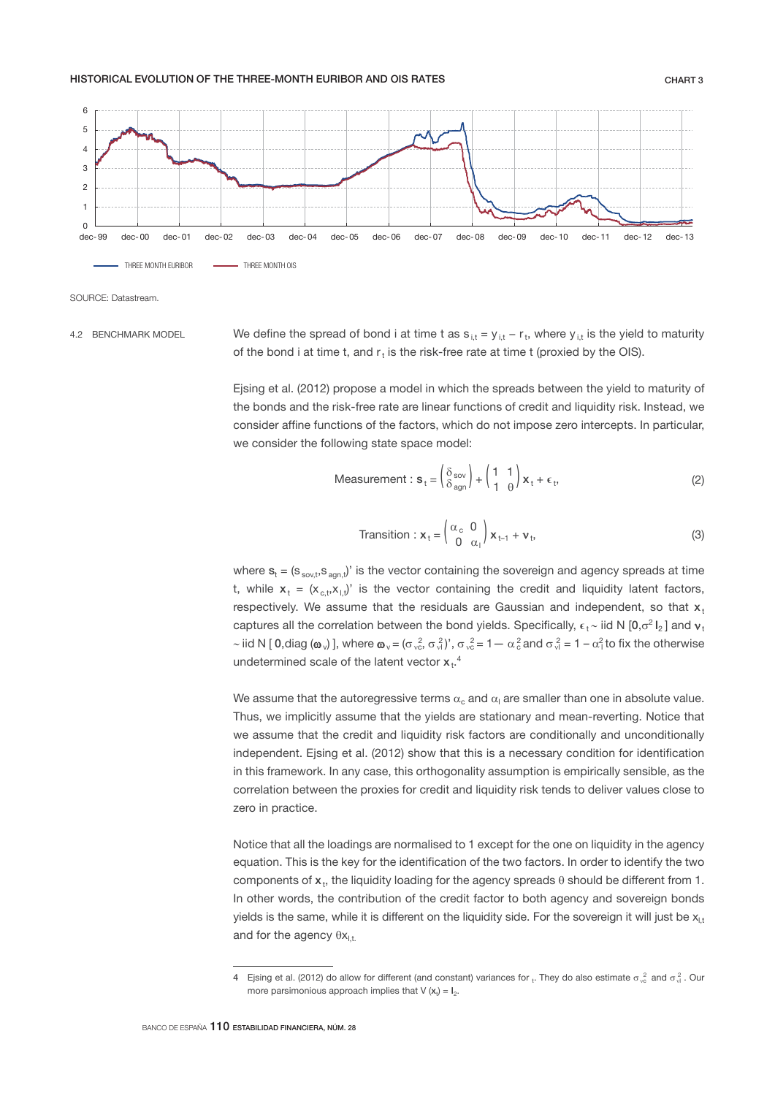## HISTORICAL EVOLUTION OF THE THREE-MONTH EURIBOR AND OIS RATES THE CHART 3



SOURCE: Datastream.

4.2 BENCHMARK MODEL

We define the spread of bond i at time t as  $s_{i,t} = y_{i,t} - r_t$ , where  $y_{i,t}$  is the yield to maturity of the bond i at time t, and  $r_t$  is the risk-free rate at time t (proxied by the OIS).

Ejsing et al. (2012) propose a model in which the spreads between the yield to maturity of the bonds and the risk-free rate are linear functions of credit and liquidity risk. Instead, we consider affine functions of the factors, which do not impose zero intercepts. In particular, we consider the following state space model:

$$
\text{Measurement}: \mathbf{s}_{t} = \begin{pmatrix} \delta_{\text{sov}} \\ \delta_{\text{agn}} \end{pmatrix} + \begin{pmatrix} 1 & 1 \\ 1 & \theta \end{pmatrix} \mathbf{x}_{t} + \epsilon_{t}, \tag{2}
$$

$$
\text{transition}: \mathbf{x}_{t} = \begin{pmatrix} \alpha_{c} & 0\\ 0 & \alpha_{1} \end{pmatrix} \mathbf{x}_{t-1} + \mathbf{v}_{t},\tag{3}
$$

where  $s_t = (s_{sov,t}, s_{agn,t})'$  is the vector containing the sovereign and agency spreads at time t, while  $x_t = (x_{c,t}, x_{t,t})'$  is the vector containing the credit and liquidity latent factors, respectively. We assume that the residuals are Gaussian and independent, so that  $x$ . captures all the correlation between the bond yields. Specifically,  $\epsilon_t \sim$  iid N [0, $\sigma^2 I_2$ ] and  $v_t$ ~ iid N [ 0,diag ( $\omega_v$ )], where  $\omega_v = (\sigma_{vc}^2, \sigma_v^2)$ ,  $\sigma_{vc}^2 = 1 - \alpha_c^2$  and  $\sigma_v^2 = 1 - \alpha_1^2$  to fix the otherwise undetermined scale of the latent vector  $x_t$ .

We assume that the autoregressive terms  $\alpha_{\rm c}$  and  $\alpha_{\rm l}$  are smaller than one in absolute value. Thus, we implicitly assume that the yields are stationary and mean-reverting. Notice that we assume that the credit and liquidity risk factors are conditionally and unconditionally independent. Ejsing et al. (2012) show that this is a necessary condition for identification in this framework. In any case, this orthogonality assumption is empirically sensible, as the correlation between the proxies for credit and liquidity risk tends to deliver values close to zero in practice.

Notice that all the loadings are normalised to 1 except for the one on liquidity in the agency equation. This is the key for the identification of the two factors. In order to identify the two components of  $x_t$ , the liquidity loading for the agency spreads  $\theta$  should be different from 1. In other words, the contribution of the credit factor to both agency and sovereign bonds yields is the same, while it is different on the liquidity side. For the sovereign it will just be  $x_{1t}$ and for the agency  $\theta x_{1t}$ .

<sup>4</sup> Ejsing et al. (2012) do allow for different (and constant) variances for <sub>t</sub>. They do also estimate  $\sigma$   $^{2}_{\rm sc}$  and  $\sigma$   $^{2}_{\rm vl}$  . Our more parsimonious approach implies that  $V(x_t) = I_2$ .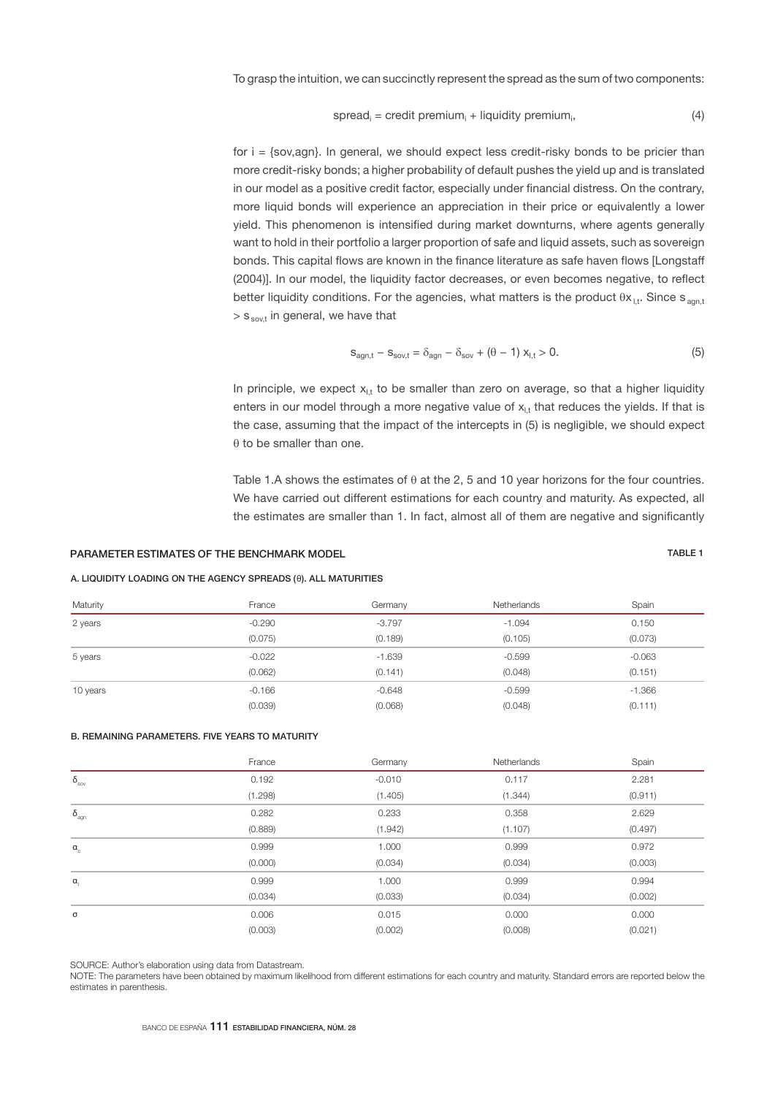To grasp the intuition, we can succinctly represent the spread as the sum of two components:

$$
spread_i = credit premium_i + liquidity premium_i, \qquad (4)
$$

for  $i = \{sov,agn\}$ . In general, we should expect less credit-risky bonds to be pricier than more credit-risky bonds; a higher probability of default pushes the yield up and is translated in our model as a positive credit factor, especially under financial distress. On the contrary, more liquid bonds will experience an appreciation in their price or equivalently a lower yield. This phenomenon is intensified during market downturns, where agents generally want to hold in their portfolio a larger proportion of safe and liquid assets, such as sovereign bonds. This capital flows are known in the finance literature as safe haven flows [Longstaff (2004)]. In our model, the liquidity factor decreases, or even becomes negative, to reflect better liquidity conditions. For the agencies, what matters is the product  $\theta x_{\vert,t}$ . Since s <sub>agn,t</sub>  $>$  s sov<sub>t</sub> in general, we have that

$$
S_{agn,t} - S_{sov,t} = \delta_{agn} - \delta_{sov} + (\theta - 1) x_{l,t} > 0.
$$
 (5)

In principle, we expect  $x_{1,t}$  to be smaller than zero on average, so that a higher liquidity enters in our model through a more negative value of  $x<sub>l</sub>$ , that reduces the yields. If that is the case, assuming that the impact of the intercepts in (5) is negligible, we should expect  $\theta$  to be smaller than one.

Table 1.A shows the estimates of  $\theta$  at the 2, 5 and 10 year horizons for the four countries. We have carried out different estimations for each country and maturity. As expected, all the estimates are smaller than 1. In fact, almost all of them are negative and significantly

# PARAMETER ESTIMATES OF THE BENCHMARK MODEL TABLE 1

## A. LIQUIDITY LOADING ON THE AGENCY SPREADS (θ). ALL MATURITIES

| Maturity | France   | Germany  | Netherlands | Spain    |
|----------|----------|----------|-------------|----------|
| 2 years  | $-0.290$ | $-3.797$ | $-1.094$    | 0.150    |
|          | (0.075)  | (0.189)  | (0.105)     | (0.073)  |
| 5 years  | $-0.022$ | $-1.639$ | $-0.599$    | $-0.063$ |
|          | (0.062)  | (0.141)  | (0.048)     | (0.151)  |
| 10 years | $-0.166$ | $-0.648$ | $-0.599$    | $-1.366$ |
|          | (0.039)  | (0.068)  | (0.048)     | (0.111)  |

## B. REMAINING PARAMETERS. FIVE YEARS TO MATURITY

|                       | France  | Germany  | Netherlands | Spain   |
|-----------------------|---------|----------|-------------|---------|
| $\delta_{_{\rm SOV}}$ | 0.192   | $-0.010$ | 0.117       | 2.281   |
|                       | (1.298) | (1.405)  | (1.344)     | (0.911) |
| $\delta_{\text{agn}}$ | 0.282   | 0.233    | 0.358       | 2.629   |
|                       | (0.889) | (1.942)  | (1.107)     | (0.497) |
| $\alpha_{c}$          | 0.999   | 1.000    | 0.999       | 0.972   |
|                       | (0.000) | (0.034)  | (0.034)     | (0.003) |
| $\alpha$              | 0.999   | 1.000    | 0.999       | 0.994   |
|                       | (0.034) | (0.033)  | (0.034)     | (0.002) |
| σ                     | 0.006   | 0.015    | 0.000       | 0.000   |
|                       | (0.003) | (0.002)  | (0.008)     | (0.021) |

SOURCE: Author's elaboration using data from Datastream.

NOTE: The parameters have been obtained by maximum likelihood from different estimations for each country and maturity. Standard errors are reported below the estimates in parenthesis.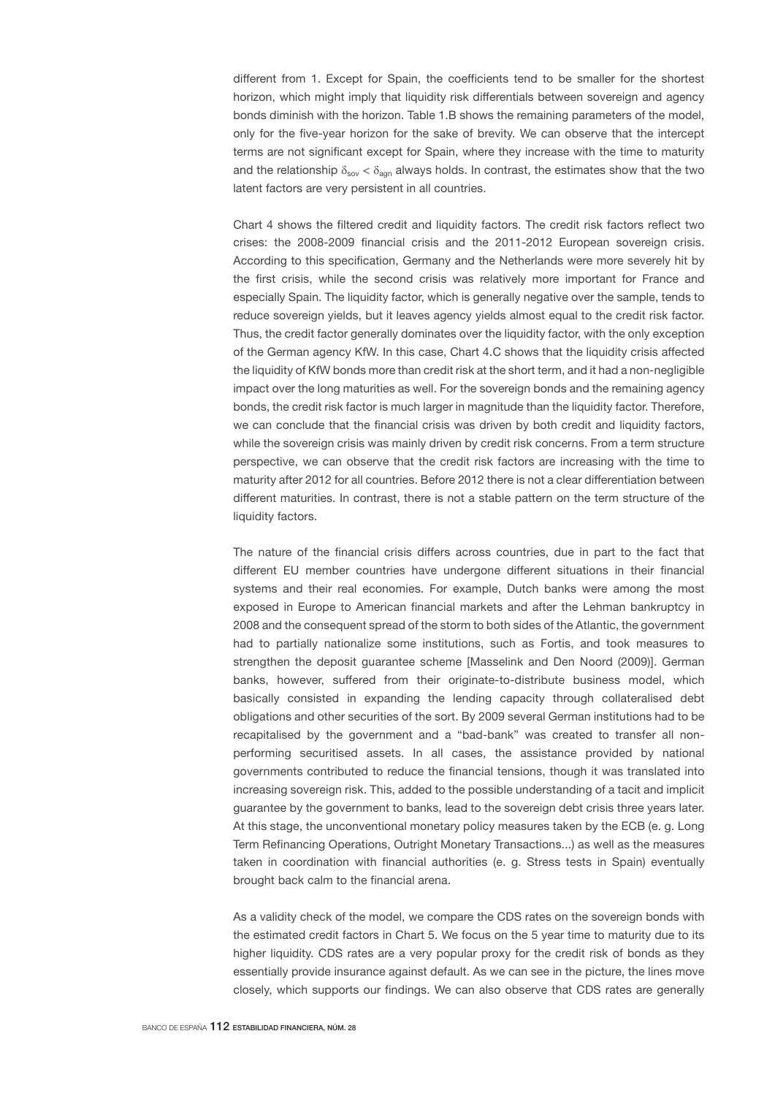different from 1. Except for Spain, the coefficients tend to be smaller for the shortest horizon, which might imply that liquidity risk differentials between sovereign and agency bonds diminish with the horizon. Table 1.B shows the remaining parameters of the model, only for the five-year horizon for the sake of brevity. We can observe that the intercept terms are not significant except for Spain, where they increase with the time to maturity and the relationship  $\delta_{\rm sov} < \delta_{\rm aon}$  always holds. In contrast, the estimates show that the two latent factors are very persistent in all countries.

Chart 4 shows the filtered credit and liquidity factors. The credit risk factors reflect two crises: the 2008-2009 financial crisis and the 2011-2012 European sovereign crisis. According to this specification, Germany and the Netherlands were more severely hit by the first crisis, while the second crisis was relatively more important for France and especially Spain. The liquidity factor, which is generally negative over the sample, tends to reduce sovereign yields, but it leaves agency yields almost equal to the credit risk factor. Thus, the credit factor generally dominates over the liquidity factor, with the only exception of the German agency KfW. In this case, Chart 4.C shows that the liquidity crisis affected the liquidity of KfW bonds more than credit risk at the short term, and it had a non-negligible impact over the long maturities as well. For the sovereign bonds and the remaining agency bonds, the credit risk factor is much larger in magnitude than the liquidity factor. Therefore, we can conclude that the financial crisis was driven by both credit and liquidity factors, while the sovereign crisis was mainly driven by credit risk concerns. From a term structure perspective, we can observe that the credit risk factors are increasing with the time to maturity after 2012 for all countries. Before 2012 there is not a clear differentiation between different maturities. In contrast, there is not a stable pattern on the term structure of the liquidity factors.

The nature of the financial crisis differs across countries, due in part to the fact that different EU member countries have undergone different situations in their financial systems and their real economies. For example, Dutch banks were among the most exposed in Europe to American financial markets and after the Lehman bankruptcy in 2008 and the consequent spread of the storm to both sides of the Atlantic, the government had to partially nationalize some institutions, such as Fortis, and took measures to strengthen the deposit guarantee scheme [Masselink and Den Noord (2009)]. German banks, however, suffered from their originate-to-distribute business model, which basically consisted in expanding the lending capacity through collateralised debt obligations and other securities of the sort. By 2009 several German institutions had to be recapitalised by the government and a "bad-bank" was created to transfer all nonperforming securitised assets. In all cases, the assistance provided by national governments contributed to reduce the financial tensions, though it was translated into increasing sovereign risk. This, added to the possible understanding of a tacit and implicit guarantee by the government to banks, lead to the sovereign debt crisis three years later. At this stage, the unconventional monetary policy measures taken by the ECB (e. g. Long Term Refinancing Operations, Outright Monetary Transactions...) as well as the measures taken in coordination with financial authorities (e. g. Stress tests in Spain) eventually brought back calm to the financial arena.

As a validity check of the model, we compare the CDS rates on the sovereign bonds with the estimated credit factors in Chart 5. We focus on the 5 year time to maturity due to its higher liquidity. CDS rates are a very popular proxy for the credit risk of bonds as they essentially provide insurance against default. As we can see in the picture, the lines move closely, which supports our findings. We can also observe that CDS rates are generally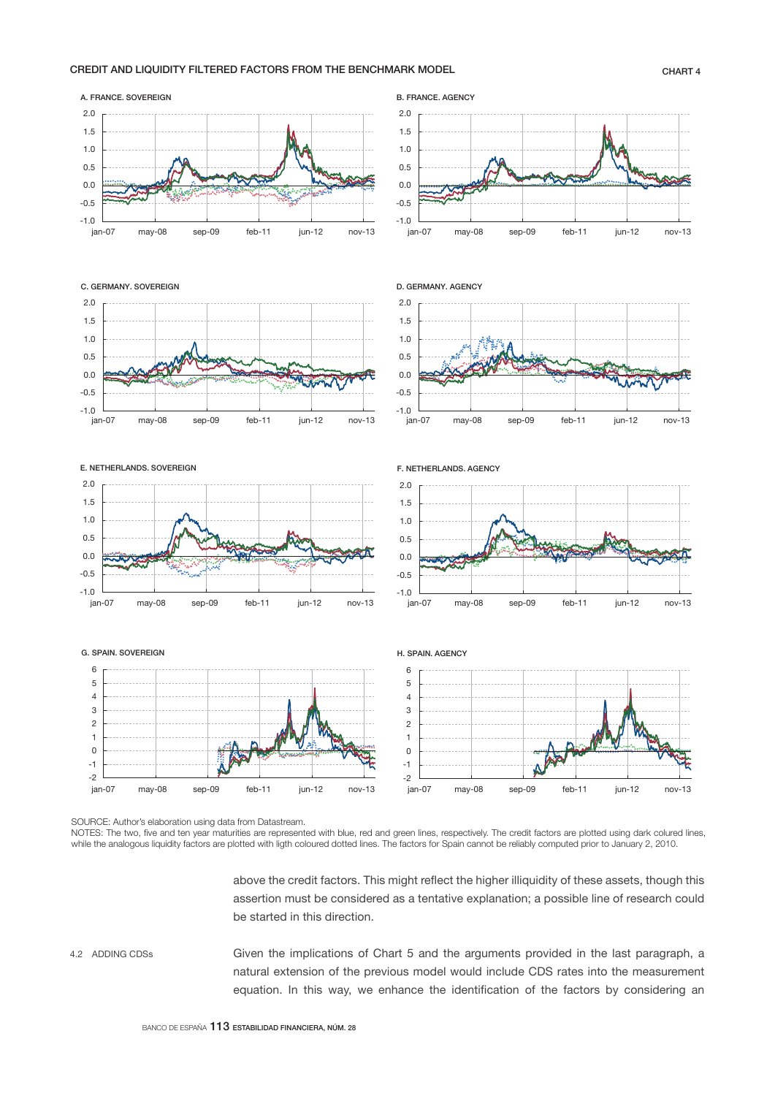## CREDIT AND LIQUIDITY FILTERED FACTORS FROM THE BENCHMARK MODEL CHART 4

2.0 j

A. FRANCE. SOVEREIGN



2.0

B. FRANCE. AGENCY j

SOURCE: Author's elaboration using data from Datastream.

NOTES: The two, five and ten year maturities are represented with blue, red and green lines, respectively. The credit factors are plotted using dark colured lines, while the analogous liquidity factors are plotted with ligth coloured dotted lines. The factors for Spain cannot be reliably computed prior to January 2, 2010.

> above the credit factors. This might reflect the higher illiquidity of these assets, though this assertion must be considered as a tentative explanation; a possible line of research could be started in this direction.

Given the implications of Chart 5 and the arguments provided in the last paragraph, a natural extension of the previous model would include CDS rates into the measurement equation. In this way, we enhance the identification of the factors by considering an 4.2 ADDING CDSs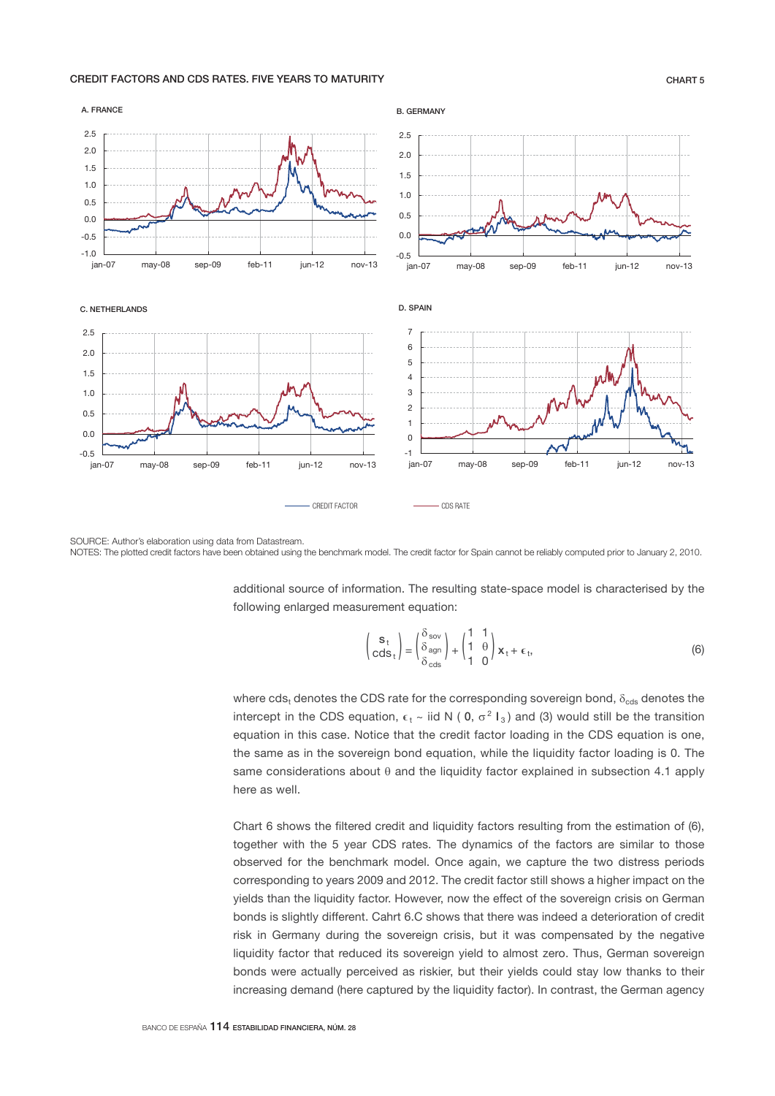## CREDIT FACTORS AND CDS RATES. FIVE YEARS TO MATURITY CHART 5



SOURCE: Author's elaboration using data from Datastream. NOTES: The plotted credit factors have been obtained using the benchmark model. The credit factor for Spain cannot be reliably computed prior to January 2, 2010.

additional source of information. The resulting state-space model is characterised by the following enlarged measurement equation:

$$
\begin{pmatrix} \mathbf{s}_t \\ \mathrm{cds}_t \end{pmatrix} = \begin{pmatrix} \delta_{\mathrm{sov}} \\ \delta_{\mathrm{agn}} \\ \delta_{\mathrm{cds}} \end{pmatrix} + \begin{pmatrix} 1 & 1 \\ 1 & \theta \\ 1 & 0 \end{pmatrix} \mathbf{x}_t + \epsilon_t,
$$
 (6)

where cds<sub>t</sub> denotes the CDS rate for the corresponding sovereign bond,  $\delta_{\text{eds}}$  denotes the intercept in the CDS equation,  $\epsilon_t$  ~ iid N (0,  $\sigma^2 I_3$ ) and (3) would still be the transition equation in this case. Notice that the credit factor loading in the CDS equation is one, the same as in the sovereign bond equation, while the liquidity factor loading is 0. The same considerations about  $\theta$  and the liquidity factor explained in subsection 4.1 apply here as well.

Chart 6 shows the filtered credit and liquidity factors resulting from the estimation of (6), together with the 5 year CDS rates. The dynamics of the factors are similar to those observed for the benchmark model. Once again, we capture the two distress periods corresponding to years 2009 and 2012. The credit factor still shows a higher impact on the yields than the liquidity factor. However, now the effect of the sovereign crisis on German bonds is slightly different. Cahrt 6.C shows that there was indeed a deterioration of credit risk in Germany during the sovereign crisis, but it was compensated by the negative liquidity factor that reduced its sovereign yield to almost zero. Thus, German sovereign bonds were actually perceived as riskier, but their yields could stay low thanks to their increasing demand (here captured by the liquidity factor). In contrast, the German agency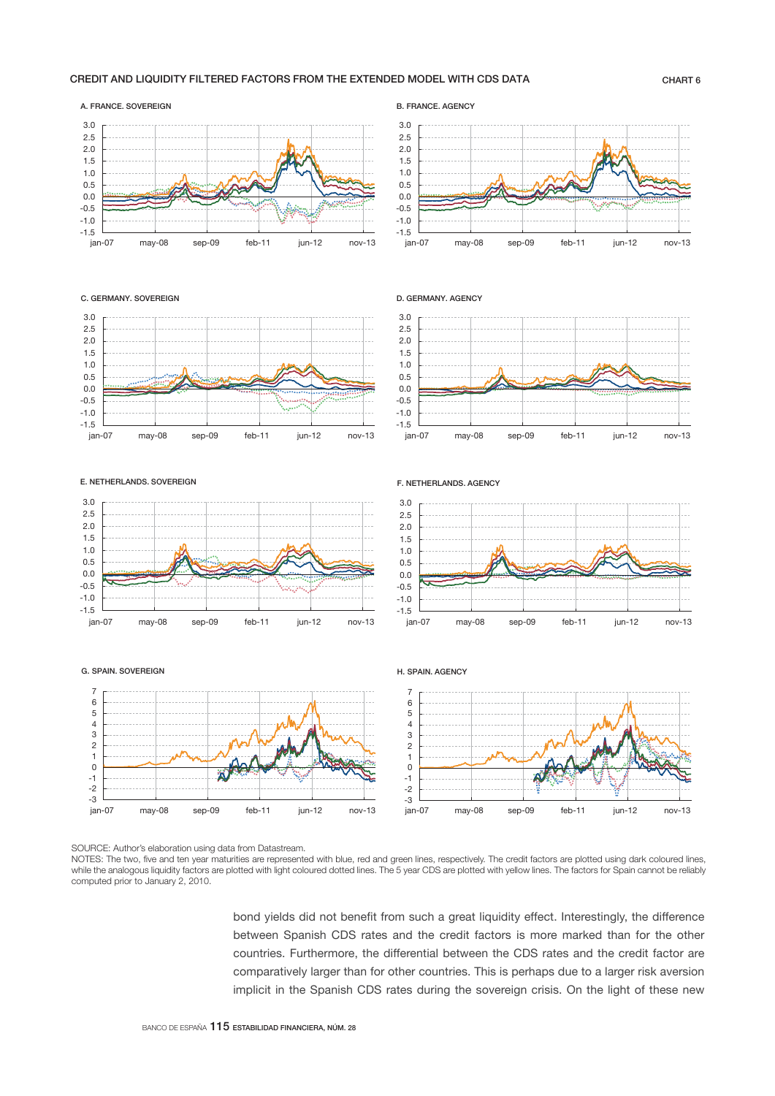## CREDIT AND LIQUIDITY FILTERED FACTORS FROM THE EXTENDED MODEL WITH CDS DATA CHART 6

### -1.5  $-1.0$ -0.5 0.0 0.5 1.0 1.5 ں.∠<br>2.0 2.5 3.0 j

B. FRANCE. AGENCY

D. GERMANY. AGENCY

F. NETHERLANDS. AGENCY



## C. GERMANY. SOVEREIGN

A. FRANCE. SOVEREIGN





### E. NETHERLANDS. SOVEREIGN



### G. SPAIN. SOVEREIGN

-3 -2 -1  $\overline{0}$ 1 2 3 4  $\frac{6}{5}$ 6 7 J



ـــا 1.5-<br>ian-07 -1.0 -0.5  $0.0$ 0.5 1.0 1.5 2.0 2.5 3.0 



SOURCE: Author's elaboration using data from Datastream.

NOTES: The two, five and ten year maturities are represented with blue, red and green lines, respectively. The credit factors are plotted using dark coloured lines, while the analogous liquidity factors are plotted with light coloured dotted lines. The 5 year CDS are plotted with yellow lines. The factors for Spain cannot be reliably computed prior to January 2, 2010.

> bond yields did not benefit from such a great liquidity effect. Interestingly, the difference between Spanish CDS rates and the credit factors is more marked than for the other countries. Furthermore, the differential between the CDS rates and the credit factor are comparatively larger than for other countries. This is perhaps due to a larger risk aversion implicit in the Spanish CDS rates during the sovereign crisis. On the light of these new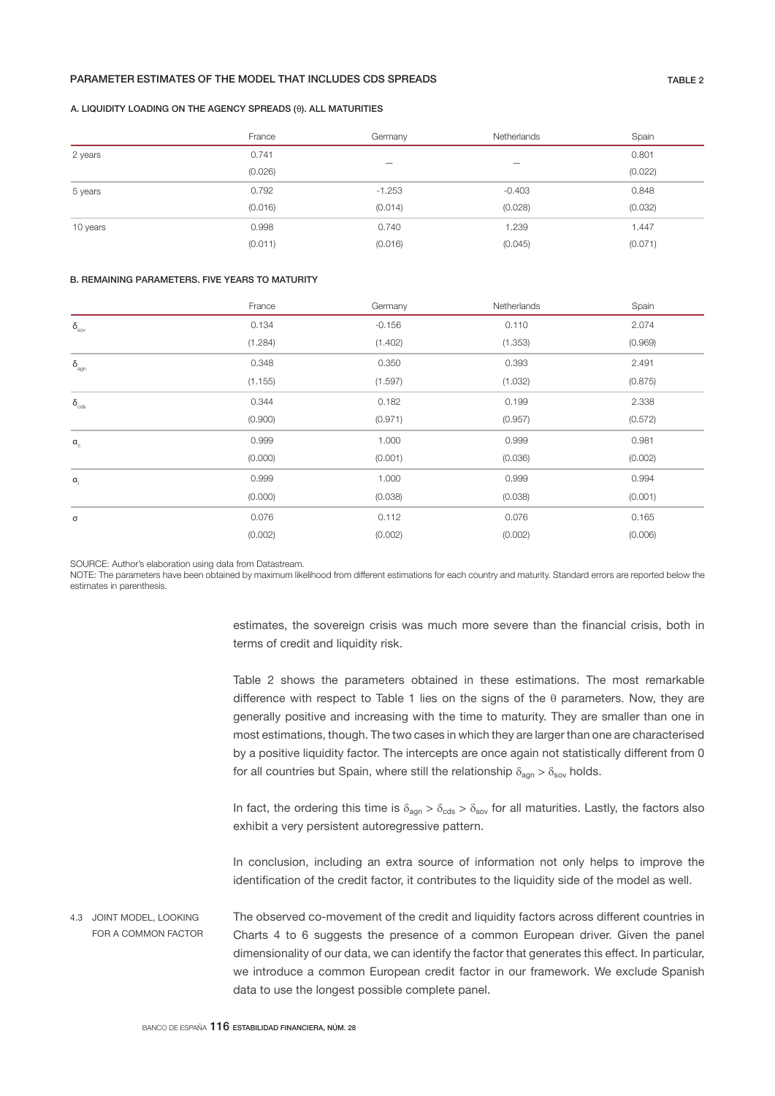## PARAMETER ESTIMATES OF THE MODEL THAT INCLUDES CDS SPREADS TABLE 2

### A. LIQUIDITY LOADING ON THE AGENCY SPREADS (θ). ALL MATURITIES

|          | France  | Germany                  | Netherlands | Spain   |
|----------|---------|--------------------------|-------------|---------|
| 2 years  | 0.741   |                          |             | 0.801   |
|          | (0.026) | $\overline{\phantom{0}}$ |             | (0.022) |
| 5 years  | 0.792   | $-1.253$                 | $-0.403$    | 0.848   |
|          | (0.016) | (0.014)                  | (0.028)     | (0.032) |
| 10 years | 0.998   | 0.740                    | 1.239       | 1.447   |
|          | (0.011) | (0.016)                  | (0.045)     | (0.071) |

## B. REMAINING PARAMETERS. FIVE YEARS TO MATURITY

|                          | France  | Germany  | Netherlands | Spain   |
|--------------------------|---------|----------|-------------|---------|
| $\delta_{\text{sov}}$    | 0.134   | $-0.156$ | 0.110       | 2.074   |
|                          | (1.284) | (1.402)  | (1.353)     | (0.969) |
| $\delta_{\text{agn}}$    | 0.348   | 0.350    | 0.393       | 2.491   |
|                          | (1.155) | (1.597)  | (1.032)     | (0.875) |
| $\delta_{_{\text{cds}}}$ | 0.344   | 0.182    | 0.199       | 2.338   |
|                          | (0.900) | (0.971)  | (0.957)     | (0.572) |
| $a_c$                    | 0.999   | 1.000    | 0.999       | 0.981   |
|                          | (0.000) | (0.001)  | (0.036)     | (0.002) |
| $\alpha_{\rm l}$         | 0.999   | 1.000    | 0.999       | 0.994   |
|                          | (0.000) | (0.038)  | (0.038)     | (0.001) |
| $\sigma$                 | 0.076   | 0.112    | 0.076       | 0.165   |
|                          | (0.002) | (0.002)  | (0.002)     | (0.006) |

SOURCE: Author's elaboration using data from Datastream.

NOTE: The parameters have been obtained by maximum likelihood from different estimations for each country and maturity. Standard errors are reported below the estimates in parenthesis.

> estimates, the sovereign crisis was much more severe than the financial crisis, both in terms of credit and liquidity risk.

> Table 2 shows the parameters obtained in these estimations. The most remarkable difference with respect to Table 1 lies on the signs of the  $\theta$  parameters. Now, they are generally positive and increasing with the time to maturity. They are smaller than one in most estimations, though. The two cases in which they are larger than one are characterised by a positive liquidity factor. The intercepts are once again not statistically different from 0 for all countries but Spain, where still the relationship  $\delta_{\text{agn}} > \delta_{\text{sov}}$  holds.

> In fact, the ordering this time is  $\delta_{\text{aon}} > \delta_{\text{cds}} > \delta_{\text{sov}}$  for all maturities. Lastly, the factors also exhibit a very persistent autoregressive pattern.

> In conclusion, including an extra source of information not only helps to improve the identification of the credit factor, it contributes to the liquidity side of the model as well.

The observed co-movement of the credit and liquidity factors across different countries in Charts 4 to 6 suggests the presence of a common European driver. Given the panel dimensionality of our data, we can identify the factor that generates this effect. In particular, we introduce a common European credit factor in our framework. We exclude Spanish data to use the longest possible complete panel. 4.3 JOINT MODEL, LOOKING FOR A COMMON FACTOR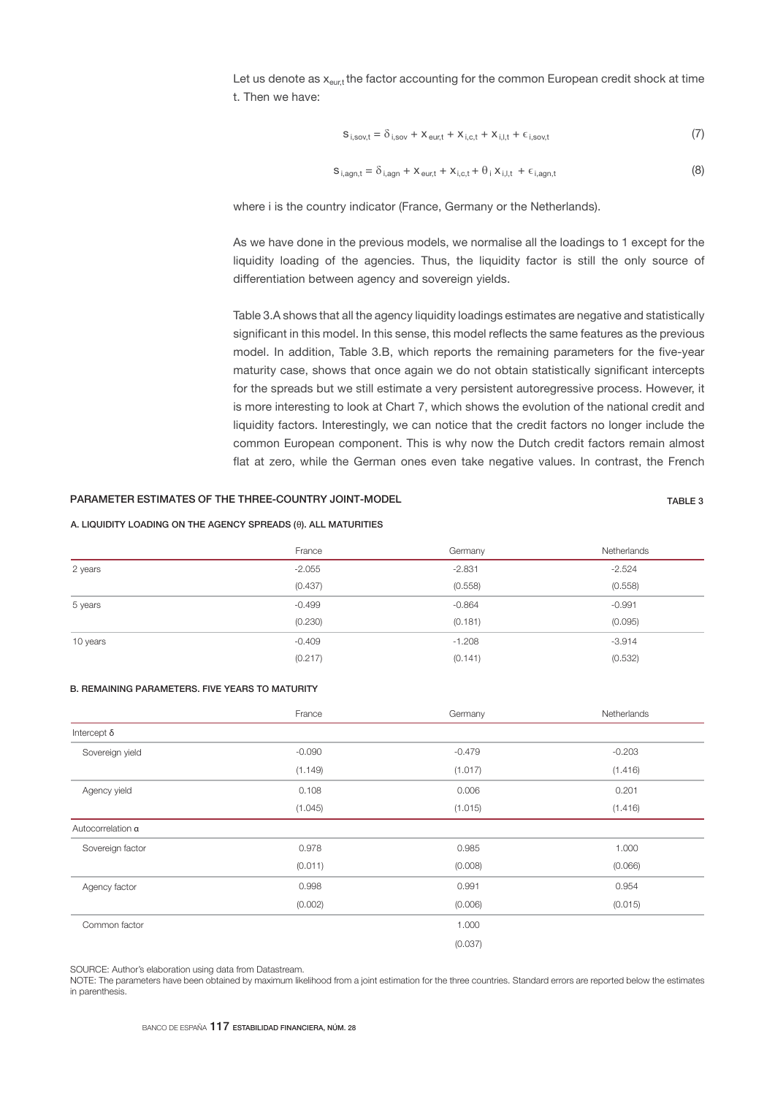Let us denote as  $x_{\text{eust}}$  the factor accounting for the common European credit shock at time t. Then we have:

$$
S_{i,sov,t} = \delta_{i,sov} + X_{\text{eur,t}} + X_{i,c,t} + X_{i,l,t} + \epsilon_{i,sov,t}
$$
 (7)

$$
S_{i,agn,t} = \delta_{i,agn} + X_{eur,t} + X_{i,c,t} + \theta_i X_{i,l,t} + \epsilon_{i,agn,t}
$$
\n(8)

where i is the country indicator (France, Germany or the Netherlands).

As we have done in the previous models, we normalise all the loadings to 1 except for the liquidity loading of the agencies. Thus, the liquidity factor is still the only source of differentiation between agency and sovereign yields.

Table 3.A shows that all the agency liquidity loadings estimates are negative and statistically significant in this model. In this sense, this model reflects the same features as the previous model. In addition, Table 3.B, which reports the remaining parameters for the five-year maturity case, shows that once again we do not obtain statistically significant intercepts for the spreads but we still estimate a very persistent autoregressive process. However, it is more interesting to look at Chart 7, which shows the evolution of the national credit and liquidity factors. Interestingly, we can notice that the credit factors no longer include the common European component. This is why now the Dutch credit factors remain almost flat at zero, while the German ones even take negative values. In contrast, the French

## PARAMETER ESTIMATES OF THE THREE-COUNTRY JOINT-MODEL **TABLE 3** TABLE 3

## A. LIQUIDITY LOADING ON THE AGENCY SPREADS (θ). ALL MATURITIES

|          | France   | Germany  | Netherlands |
|----------|----------|----------|-------------|
| 2 years  | $-2.055$ | $-2.831$ | $-2.524$    |
|          | (0.437)  | (0.558)  | (0.558)     |
| 5 years  | $-0.499$ | $-0.864$ | $-0.991$    |
|          | (0.230)  | (0.181)  | (0.095)     |
| 10 years | $-0.409$ | $-1.208$ | $-3.914$    |
|          | (0.217)  | (0.141)  | (0.532)     |

## B. REMAINING PARAMETERS. FIVE YEARS TO MATURITY

|                    | France   | Germany  | Netherlands |
|--------------------|----------|----------|-------------|
| Intercept $\delta$ |          |          |             |
| Sovereign yield    | $-0.090$ | $-0.479$ | $-0.203$    |
|                    | (1.149)  | (1.017)  | (1.416)     |
| Agency yield       | 0.108    | 0.006    | 0.201       |
|                    | (1.045)  | (1.015)  | (1.416)     |
| Autocorrelation a  |          |          |             |
| Sovereign factor   | 0.978    | 0.985    | 1.000       |
|                    | (0.011)  | (0.008)  | (0.066)     |
| Agency factor      | 0.998    | 0.991    | 0.954       |
|                    | (0.002)  | (0.006)  | (0.015)     |
| Common factor      |          | 1.000    |             |
|                    |          | (0.037)  |             |

SOURCE: Author's elaboration using data from Datastream.

NOTE: The parameters have been obtained by maximum likelihood from a joint estimation for the three countries. Standard errors are reported below the estimates in parenthesis.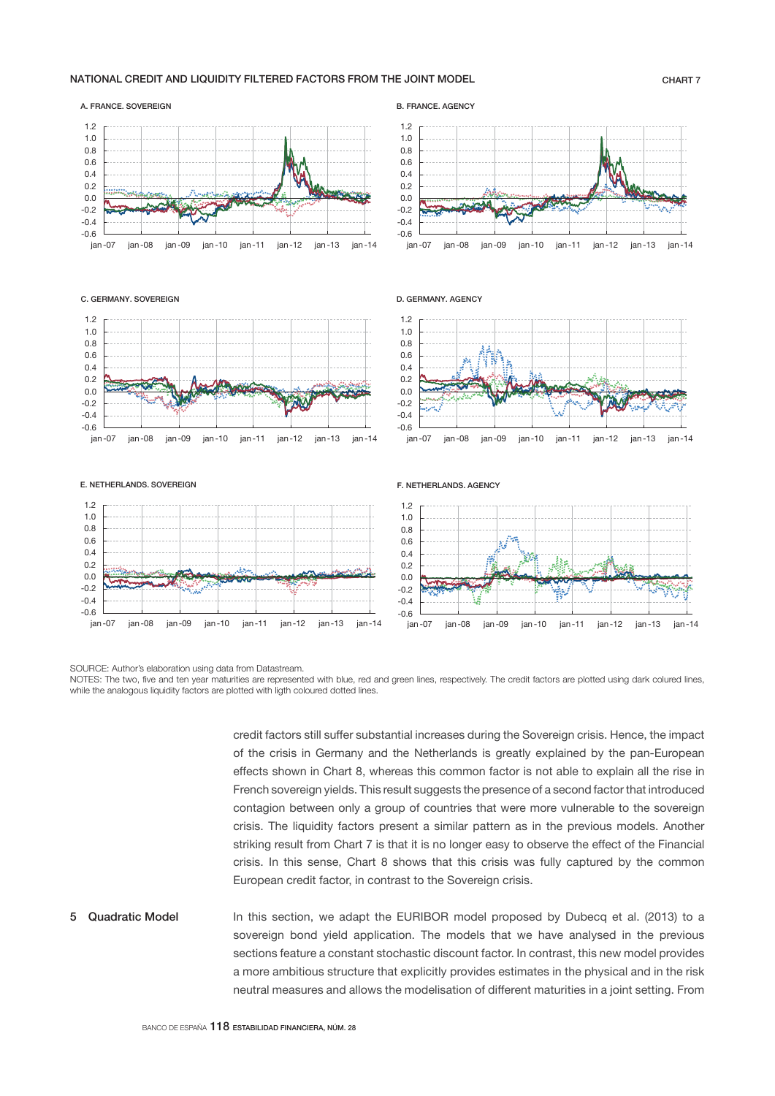## NATIONAL CREDIT AND LIQUIDITY FILTERED FACTORS FROM THE JOINT MODEL CHART 7



### C. GERMANY. SOVEREIGN

A. FRANCE. SOVEREIGN



B. FRANCE. AGENCY





—أ 0.6-<br>07- ian -0.4  $-0.2$  $0.0$ 0.2  $0.4$ 0.6 0.8 1.0 1.2



jan -07 jan -08 jan -09 jan -10 jan -11 jan -12 jan -13 jan -14

F. NETHERLANDS. AGENCY



SOURCE: Author's elaboration using data from Datastream.

NOTES: The two, five and ten year maturities are represented with blue, red and green lines, respectively. The credit factors are plotted using dark colured lines, while the analogous liquidity factors are plotted with ligth coloured dotted lines.

> credit factors still suffer substantial increases during the Sovereign crisis. Hence, the impact of the crisis in Germany and the Netherlands is greatly explained by the pan-European effects shown in Chart 8, whereas this common factor is not able to explain all the rise in French sovereign yields. This result suggests the presence of a second factor that introduced contagion between only a group of countries that were more vulnerable to the sovereign crisis. The liquidity factors present a similar pattern as in the previous models. Another striking result from Chart 7 is that it is no longer easy to observe the effect of the Financial crisis. In this sense, Chart 8 shows that this crisis was fully captured by the common European credit factor, in contrast to the Sovereign crisis.

In this section, we adapt the EURIBOR model proposed by Dubecq et al. (2013) to a sovereign bond yield application. The models that we have analysed in the previous sections feature a constant stochastic discount factor. In contrast, this new model provides a more ambitious structure that explicitly provides estimates in the physical and in the risk neutral measures and allows the modelisation of different maturities in a joint setting. From 5 Quadratic Model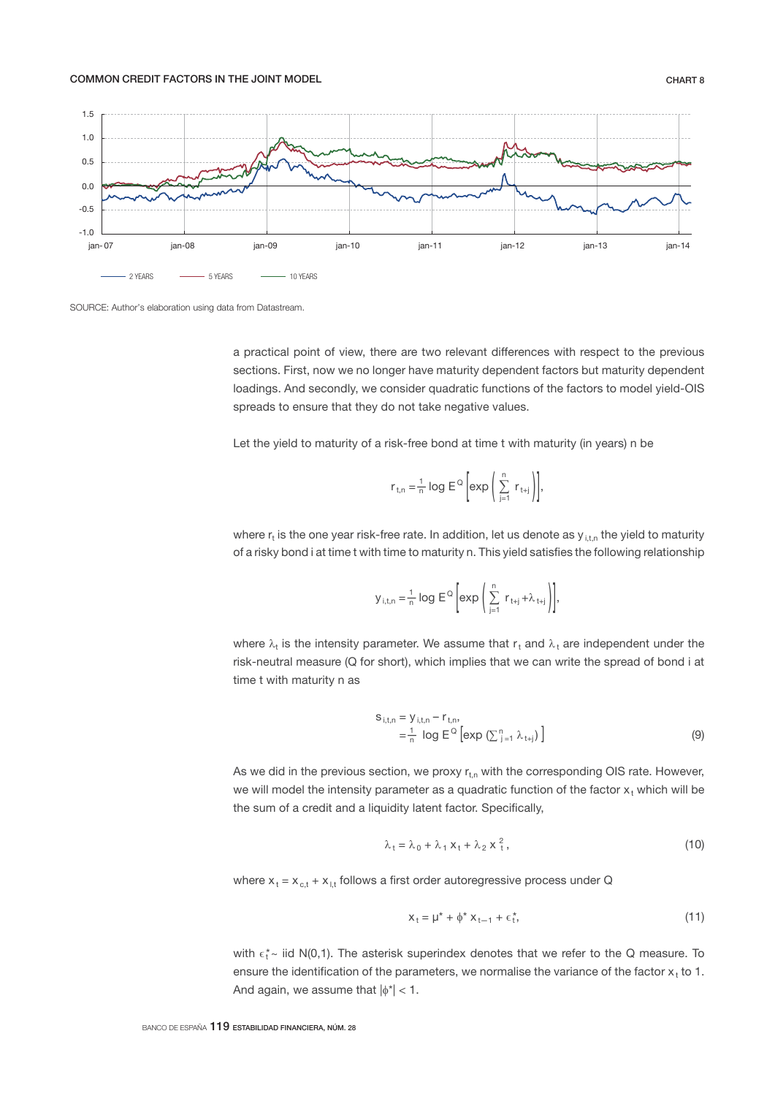## COMMON CREDIT FACTORS IN THE JOINT MODEL **CHART 8**



SOURCE: Author's elaboration using data from Datastream.

a practical point of view, there are two relevant differences with respect to the previous sections. First, now we no longer have maturity dependent factors but maturity dependent loadings. And secondly, we consider quadratic functions of the factors to model yield-OIS spreads to ensure that they do not take negative values.

Let the yield to maturity of a risk-free bond at time t with maturity (in years) n be

$$
r_{t,n} = \frac{1}{n} \log E^{\mathbb{Q}} \left[ exp \left( \sum_{j=1}^{n} r_{t+j} \right) \right],
$$

where  $r_t$  is the one year risk-free rate. In addition, let us denote as  $y_{i,t,n}$  the yield to maturity of a risky bond i at time t with time to maturity n. This yield satisfies the following relationship

$$
y_{i,t,n} = \frac{1}{n} \log E^{\mathbb{Q}} \left[ exp \left( \sum_{j=1}^{n} r_{t+j} + \lambda_{t+j} \right) \right],
$$

where  $\lambda_t$  is the intensity parameter. We assume that  $r_t$  and  $\lambda_t$  are independent under the risk-neutral measure (Q for short), which implies that we can write the spread of bond i at time t with maturity n as

$$
S_{i,t,n} = y_{i,t,n} - r_{t,n},
$$
  
=  $\frac{1}{n} \log E^{\Omega} [\exp (\sum_{j=1}^{n} \lambda_{t+j})]$  (9)

As we did in the previous section, we proxy  $r_{t,n}$  with the corresponding OIS rate. However, we will model the intensity parameter as a quadratic function of the factor  $x_t$  which will be the sum of a credit and a liquidity latent factor. Specifically,

$$
\lambda_t = \lambda_0 + \lambda_1 X_t + \lambda_2 X_t^2, \qquad (10)
$$

where  $x_t = x_{c,t} + x_{i,t}$  follows a first order autoregressive process under Q

$$
X_t = \mu^* + \phi^* X_{t-1} + \epsilon_t^*,\tag{11}
$$

with  $\epsilon_t^*$  iid N(0,1). The asterisk superindex denotes that we refer to the Q measure. To ensure the identification of the parameters, we normalise the variance of the factor  $x<sub>t</sub>$  to 1. And again, we assume that  $|\phi^*|$  < 1.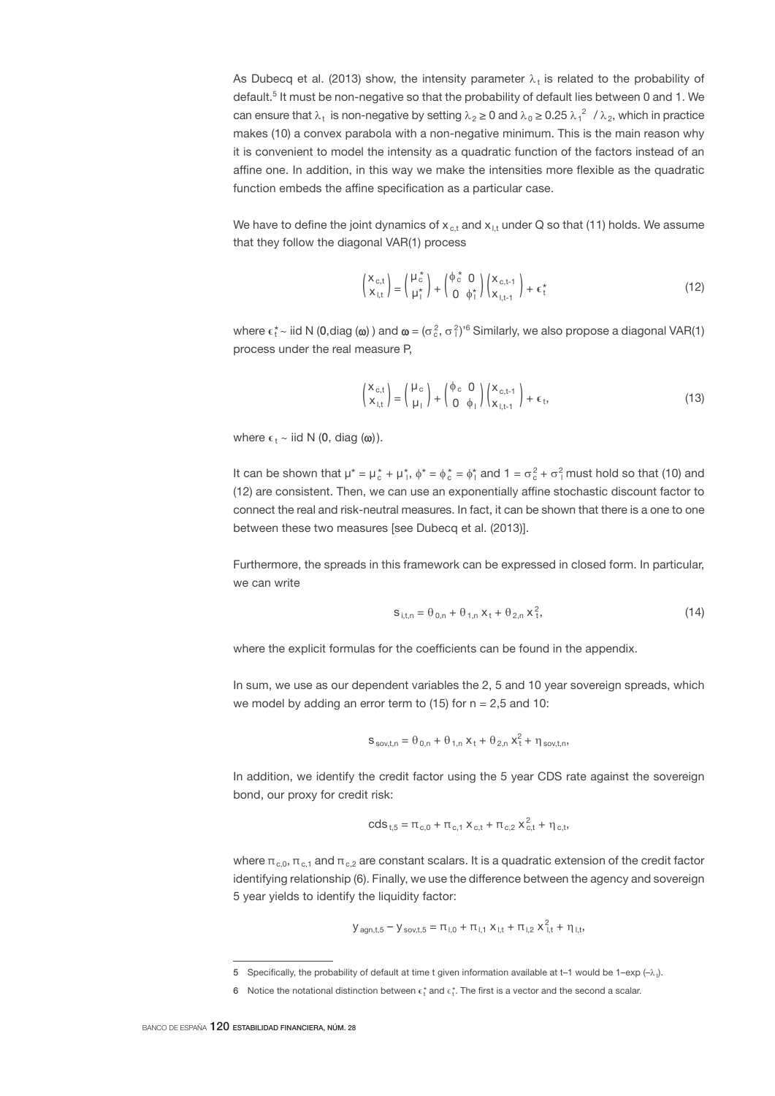As Dubecq et al. (2013) show, the intensity parameter  $\lambda_t$  is related to the probability of default.<sup>5</sup> It must be non-negative so that the probability of default lies between 0 and 1. We can ensure that  $\lambda_t$  is non-negative by setting  $\lambda_2 \ge 0$  and  $\lambda_0 \ge 0.25$   $\lambda_1^2$  /  $\lambda_2$ , which in practice makes (10) a convex parabola with a non-negative minimum. This is the main reason why it is convenient to model the intensity as a quadratic function of the factors instead of an affine one. In addition, in this way we make the intensities more flexible as the quadratic function embeds the affine specification as a particular case.

We have to define the joint dynamics of  $x_{c}$ , and  $x_{i}$ , under Q so that (11) holds. We assume that they follow the diagonal VAR(1) process

$$
\begin{pmatrix} X_{c,t} \\ X_{l,t} \end{pmatrix} = \begin{pmatrix} \mu_c^* \\ \mu_l^* \end{pmatrix} + \begin{pmatrix} \phi_c^* & 0 \\ 0 & \phi_l^* \end{pmatrix} \begin{pmatrix} X_{c,t-1} \\ X_{l,t-1} \end{pmatrix} + \epsilon_t^*
$$
 (12)

where  $\epsilon^*_t$  ~ iid N (0,diag ( $\omega$ )) and  $\omega = (\sigma_c^2, \sigma_f^2)^6$  Similarly, we also propose a diagonal VAR(1) process under the real measure P,

$$
\begin{pmatrix} X_{c,t} \\ X_{l,t} \end{pmatrix} = \begin{pmatrix} \mu_c \\ \mu_l \end{pmatrix} + \begin{pmatrix} \phi_c & 0 \\ 0 & \phi_l \end{pmatrix} \begin{pmatrix} X_{c,t-1} \\ X_{l,t-1} \end{pmatrix} + \epsilon_t,
$$
 (13)

where  $\epsilon_1 \sim$  iid N (0, diag ( $\omega$ )).

It can be shown that  $\mu^* = \mu_c^* + \mu_l^*, \phi^* = \phi_c^* = \phi_l^*$  and  $1 = \sigma_c^2 + \sigma_l^2$  must hold so that (10) and (12) are consistent. Then, we can use an exponentially affine stochastic discount factor to connect the real and risk-neutral measures. In fact, it can be shown that there is a one to one between these two measures [see Dubecq et al. (2013)].

Furthermore, the spreads in this framework can be expressed in closed form. In particular, we can write

$$
S_{i,t,n} = \theta_{0,n} + \theta_{1,n} X_t + \theta_{2,n} X_t^2,
$$
\n(14)

where the explicit formulas for the coefficients can be found in the appendix.

In sum, we use as our dependent variables the 2, 5 and 10 year sovereign spreads, which we model by adding an error term to  $(15)$  for  $n = 2.5$  and 10:

$$
S_{\text{sov,t,n}} = \theta_{0,n} + \theta_{1,n} x_t + \theta_{2,n} x_t^2 + \eta_{\text{sov,t,n}},
$$

In addition, we identify the credit factor using the 5 year CDS rate against the sovereign bond, our proxy for credit risk:

$$
cds_{t,5} = \pi_{c,0} + \pi_{c,1} x_{c,t} + \pi_{c,2} x_{c,t}^2 + \eta_{c,t},
$$

where  $\pi_{c,0}$ ,  $\pi_{c,1}$  and  $\pi_{c,2}$  are constant scalars. It is a quadratic extension of the credit factor identifying relationship (6). Finally, we use the difference between the agency and sovereign 5 year yields to identify the liquidity factor:

$$
y_{agn,t,5} - y_{sov,t,5} = \pi_{I,0} + \pi_{I,1} x_{I,t} + \pi_{I,2} x_{I,t}^2 + \eta_{I,t},
$$

<sup>5</sup> Specifically, the probability of default at time t given information available at t–1 would be 1–exp  $(-\lambda)$ .

<sup>6</sup> Notice the notational distinction between  $\epsilon_t^*$  and  $\epsilon_t^*$ . The first is a vector and the second a scalar.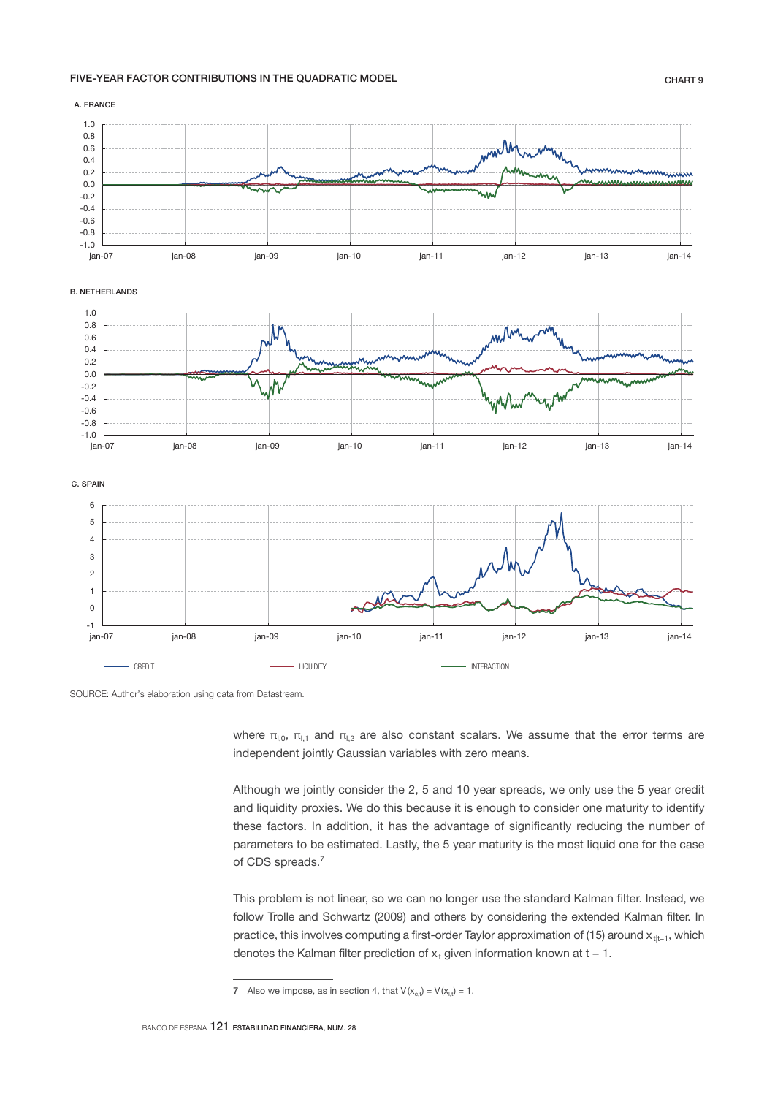# FIVE-YEAR FACTOR CONTRIBUTIONS IN THE QUADRATIC MODEL **Example 20 years and the CHART 9**



SOURCE: Author's elaboration using data from Datastream.

where  $\pi_{1,0}$ ,  $\pi_{1,1}$  and  $\pi_{1,2}$  are also constant scalars. We assume that the error terms are independent jointly Gaussian variables with zero means.

Although we jointly consider the 2, 5 and 10 year spreads, we only use the 5 year credit and liquidity proxies. We do this because it is enough to consider one maturity to identify these factors. In addition, it has the advantage of significantly reducing the number of parameters to be estimated. Lastly, the 5 year maturity is the most liquid one for the case of CDS spreads.<sup>7</sup>

This problem is not linear, so we can no longer use the standard Kalman filter. Instead, we follow Trolle and Schwartz (2009) and others by considering the extended Kalman filter. In practice, this involves computing a first-order Taylor approximation of (15) around x<sub>tt-1</sub>, which denotes the Kalman filter prediction of  $x_t$  given information known at t – 1.

<sup>7</sup> Also we impose, as in section 4, that  $V(x<sub>c,t</sub>) = V(x<sub>l,t</sub>) = 1$ .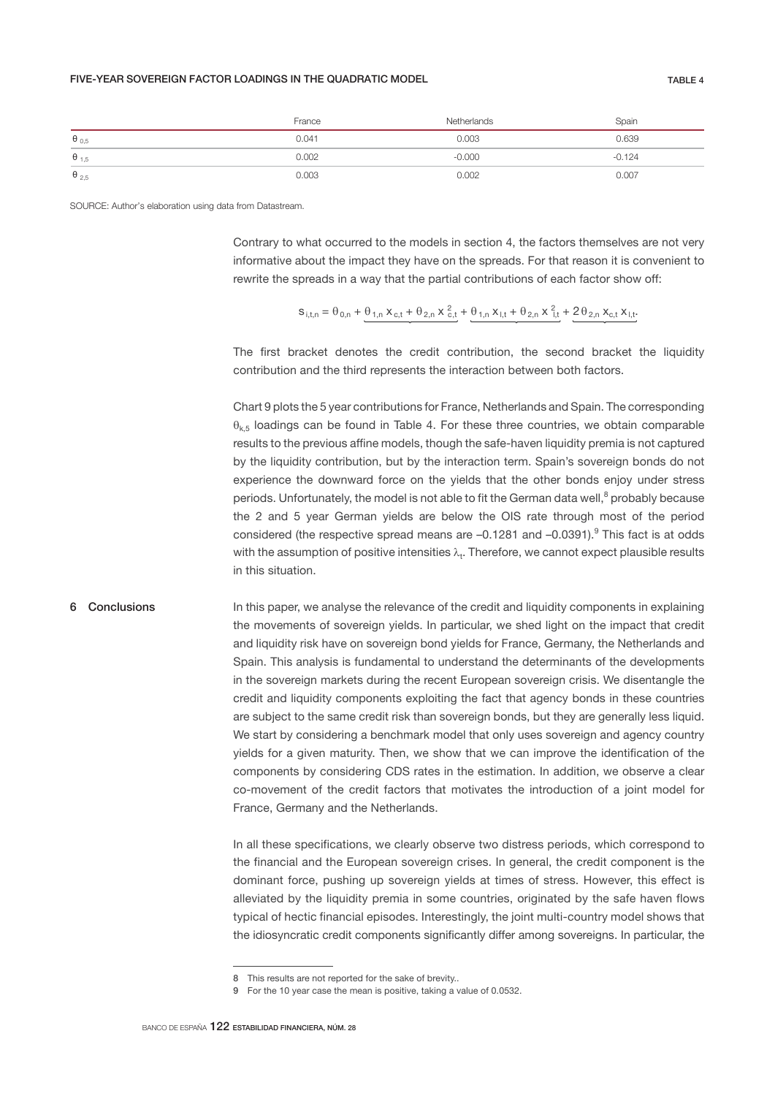## FIVE-YEAR SOVEREIGN FACTOR LOADINGS IN THE QUADRATIC MODEL TABLE 4

|                         | France | Netherlands | Spain    |
|-------------------------|--------|-------------|----------|
| $\theta_{0,5}$          | 0.041  | 0.003       | 0.639    |
| $\theta$ <sub>1,5</sub> | 0.002  | $-0.000$    | $-0.124$ |
| $\theta_{2,5}$          | 0.003  | 0.002       | 0.007    |

SOURCE: Author's elaboration using data from Datastream.

Contrary to what occurred to the models in section 4, the factors themselves are not very informative about the impact they have on the spreads. For that reason it is convenient to rewrite the spreads in a way that the partial contributions of each factor show off:

$$
s_{i,t,n} = \theta_{0,n} + \theta_{1,n} x_{c,t} + \theta_{2,n} x_{c,t}^2 + \theta_{1,n} x_{i,t} + \theta_{2,n} x_{i,t}^2 + 2\theta_{2,n} x_{c,t} x_{i,t}.
$$

The first bracket denotes the credit contribution, the second bracket the liquidity contribution and the third represents the interaction between both factors.

Chart 9 plots the 5 year contributions for France, Netherlands and Spain. The corresponding  $\theta_{k,5}$  loadings can be found in Table 4. For these three countries, we obtain comparable results to the previous affine models, though the safe-haven liquidity premia is not captured by the liquidity contribution, but by the interaction term. Spain's sovereign bonds do not experience the downward force on the yields that the other bonds enjoy under stress periods. Unfortunately, the model is not able to fit the German data well, $^8$  probably because the 2 and 5 year German yields are below the OIS rate through most of the period considered (the respective spread means are  $-0.1281$  and  $-0.0391$ ).<sup>9</sup> This fact is at odds with the assumption of positive intensities  $\lambda_t$ . Therefore, we cannot expect plausible results in this situation.

## 6 Conclusions

In this paper, we analyse the relevance of the credit and liquidity components in explaining the movements of sovereign yields. In particular, we shed light on the impact that credit and liquidity risk have on sovereign bond yields for France, Germany, the Netherlands and Spain. This analysis is fundamental to understand the determinants of the developments in the sovereign markets during the recent European sovereign crisis. We disentangle the credit and liquidity components exploiting the fact that agency bonds in these countries are subject to the same credit risk than sovereign bonds, but they are generally less liquid. We start by considering a benchmark model that only uses sovereign and agency country yields for a given maturity. Then, we show that we can improve the identification of the components by considering CDS rates in the estimation. In addition, we observe a clear co-movement of the credit factors that motivates the introduction of a joint model for France, Germany and the Netherlands.

In all these specifications, we clearly observe two distress periods, which correspond to the financial and the European sovereign crises. In general, the credit component is the dominant force, pushing up sovereign yields at times of stress. However, this effect is alleviated by the liquidity premia in some countries, originated by the safe haven flows typical of hectic financial episodes. Interestingly, the joint multi-country model shows that the idiosyncratic credit components significantly differ among sovereigns. In particular, the

<sup>8</sup> This results are not reported for the sake of brevity..

<sup>9</sup> For the 10 year case the mean is positive, taking a value of 0.0532.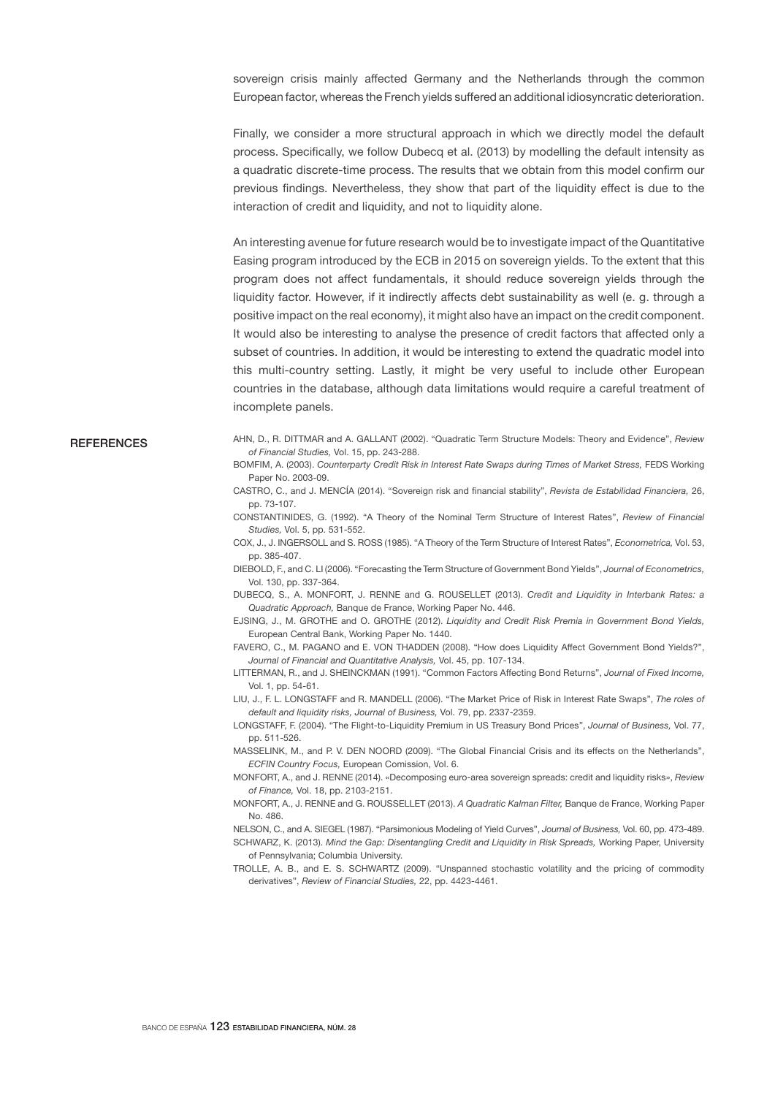sovereign crisis mainly affected Germany and the Netherlands through the common European factor, whereas the French yields suffered an additional idiosyncratic deterioration.

Finally, we consider a more structural approach in which we directly model the default process. Specifically, we follow Dubecq et al. (2013) by modelling the default intensity as a quadratic discrete-time process. The results that we obtain from this model confirm our previous findings. Nevertheless, they show that part of the liquidity effect is due to the interaction of credit and liquidity, and not to liquidity alone.

An interesting avenue for future research would be to investigate impact of the Quantitative Easing program introduced by the ECB in 2015 on sovereign yields. To the extent that this program does not affect fundamentals, it should reduce sovereign yields through the liquidity factor. However, if it indirectly affects debt sustainability as well (e. g. through a positive impact on the real economy), it might also have an impact on the credit component. It would also be interesting to analyse the presence of credit factors that affected only a subset of countries. In addition, it would be interesting to extend the quadratic model into this multi-country setting. Lastly, it might be very useful to include other European countries in the database, although data limitations would require a careful treatment of incomplete panels.

## **REFERENCES**

AHN, D., R. DITTMAR and A. GALLANT (2002). "Quadratic Term Structure Models: Theory and Evidence", *Review of Financial Studies,* Vol. 15, pp. 243-288.

BOMFIM, A. (2003). *Counterparty Credit Risk in Interest Rate Swaps during Times of Market Stress,* FEDS Working Paper No. 2003-09.

CASTRO, C., and J. MENCÍA (2014). "Sovereign risk and financial stability", *Revista de Estabilidad Financiera,* 26, pp. 73-107.

CONSTANTINIDES, G. (1992). "A Theory of the Nominal Term Structure of Interest Rates", *Review of Financial Studies,* Vol. 5, pp. 531-552.

COX, J., J. INGERSOLL and S. ROSS (1985). "A Theory of the Term Structure of Interest Rates", *Econometrica,* Vol. 53, pp. 385-407.

DIEBOLD, F., and C. LI (2006). "Forecasting the Term Structure of Government Bond Yields", *Journal of Econometrics,*  Vol. 130, pp. 337-364.

DUBECQ, S., A. MONFORT, J. RENNE and G. ROUSELLET (2013). *Credit and Liquidity in Interbank Rates: a Quadratic Approach,* Banque de France, Working Paper No. 446.

EJSING, J., M. GROTHE and O. GROTHE (2012). *Liquidity and Credit Risk Premia in Government Bond Yields,* European Central Bank, Working Paper No. 1440.

FAVERO, C., M. PAGANO and E. VON THADDEN (2008). "How does Liquidity Affect Government Bond Yields?", *Journal of Financial and Quantitative Analysis,* Vol. 45, pp. 107-134.

LITTERMAN, R., and J. SHEINCKMAN (1991). "Common Factors Affecting Bond Returns", *Journal of Fixed Income,*  Vol. 1, pp. 54-61.

LIU, J., F. L. LONGSTAFF and R. MANDELL (2006). "The Market Price of Risk in Interest Rate Swaps", *The roles of default and liquidity risks, Journal of Business,* Vol. 79, pp. 2337-2359.

LONGSTAFF, F. (2004). "The Flight-to-Liquidity Premium in US Treasury Bond Prices", *Journal of Business,* Vol. 77, pp. 511-526.

MASSELINK, M., and P. V. DEN NOORD (2009). "The Global Financial Crisis and its effects on the Netherlands", *ECFIN Country Focus,* European Comission, Vol. 6.

MONFORT, A., and J. RENNE (2014). «Decomposing euro-area sovereign spreads: credit and liquidity risks», *Review of Finance,* Vol. 18, pp. 2103-2151.

MONFORT, A., J. RENNE and G. ROUSSELLET (2013). *A Quadratic Kalman Filter,* Banque de France, Working Paper No. 486.

NELSON, C., and A. SIEGEL (1987). "Parsimonious Modeling of Yield Curves", *Journal of Business,* Vol. 60, pp. 473-489.

SCHWARZ, K. (2013). *Mind the Gap: Disentangling Credit and Liquidity in Risk Spreads,* Working Paper, University of Pennsylvania; Columbia University.

TROLLE, A. B., and E. S. SCHWARTZ (2009). "Unspanned stochastic volatility and the pricing of commodity derivatives", *Review of Financial Studies,* 22, pp. 4423-4461.